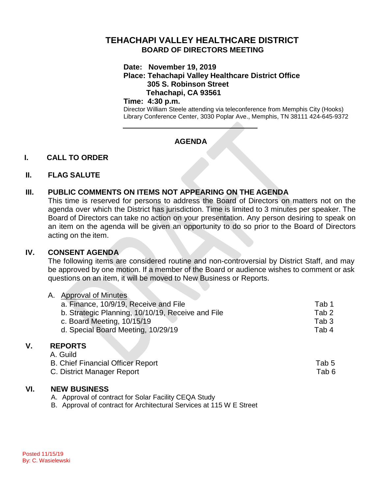# **TEHACHAPI VALLEY HEALTHCARE DISTRICT BOARD OF DIRECTORS MEETING**

#### **Date: November 19, 2019**

**Place: Tehachapi Valley Healthcare District Office 305 S. Robinson Street Tehachapi, CA 93561**

#### **Time: 4:30 p.m.**

Director William Steele attending via teleconference from Memphis City (Hooks) Library Conference Center, 3030 Poplar Ave., Memphis, TN 38111 424-645-9372

# **AGENDA**

# **I. CALL TO ORDER**

# **II. FLAG SALUTE**

# **III. PUBLIC COMMENTS ON ITEMS NOT APPEARING ON THE AGENDA**

This time is reserved for persons to address the Board of Directors on matters not on the agenda over which the District has jurisdiction. Time is limited to 3 minutes per speaker. The Board of Directors can take no action on your presentation. Any person desiring to speak on an item on the agenda will be given an opportunity to do so prior to the Board of Directors acting on the item.

# **IV. CONSENT AGENDA**

The following items are considered routine and non-controversial by District Staff, and may be approved by one motion. If a member of the Board or audience wishes to comment or ask questions on an item, it will be moved to New Business or Reports.

| V. | <b>REPORTS</b>                                    |       |
|----|---------------------------------------------------|-------|
|    | d. Special Board Meeting, 10/29/19                | Tab 4 |
|    | c. Board Meeting, 10/15/19                        | Tab 3 |
|    | b. Strategic Planning, 10/10/19, Receive and File | Tab 2 |
|    | a. Finance, 10/9/19, Receive and File             | Tab 1 |
|    | <b>Approval of Minutes</b>                        |       |

| A. Guild                                 |       |
|------------------------------------------|-------|
| <b>B. Chief Financial Officer Report</b> | Tab 5 |
| C. District Manager Report               | Tab 6 |

#### **VI. NEW BUSINESS**

- A. Approval of contract for Solar Facility CEQA Study
- B. Approval of contract for Architectural Services at 115 W E Street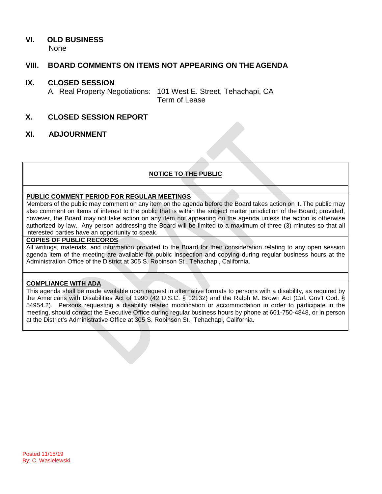# **VI. OLD BUSINESS**

None

# **VIII. BOARD COMMENTS ON ITEMS NOT APPEARING ON THE AGENDA**

#### **IX. CLOSED SESSION**

A. Real Property Negotiations: 101 West E. Street, Tehachapi, CA Term of Lease

#### **X. CLOSED SESSION REPORT**

#### **XI. ADJOURNMENT**

# **NOTICE TO THE PUBLIC**

#### **PUBLIC COMMENT PERIOD FOR REGULAR MEETINGS**

Members of the public may comment on any item on the agenda before the Board takes action on it. The public may also comment on items of interest to the public that is within the subject matter jurisdiction of the Board; provided, however, the Board may not take action on any item not appearing on the agenda unless the action is otherwise authorized by law. Any person addressing the Board will be limited to a maximum of three (3) minutes so that all interested parties have an opportunity to speak.

#### **COPIES OF PUBLIC RECORDS**

All writings, materials, and information provided to the Board for their consideration relating to any open session agenda item of the meeting are available for public inspection and copying during regular business hours at the Administration Office of the District at 305 S. Robinson St., Tehachapi, California.

#### **COMPLIANCE WITH ADA**

This agenda shall be made available upon request in alternative formats to persons with a disability, as required by the Americans with Disabilities Act of 1990 (42 U.S.C. § 12132) and the Ralph M. Brown Act (Cal. Gov't Cod. § 54954.2). Persons requesting a disability related modification or accommodation in order to participate in the meeting, should contact the Executive Office during regular business hours by phone at 661-750-4848, or in person at the District's Administrative Office at 305 S. Robinson St., Tehachapi, California.